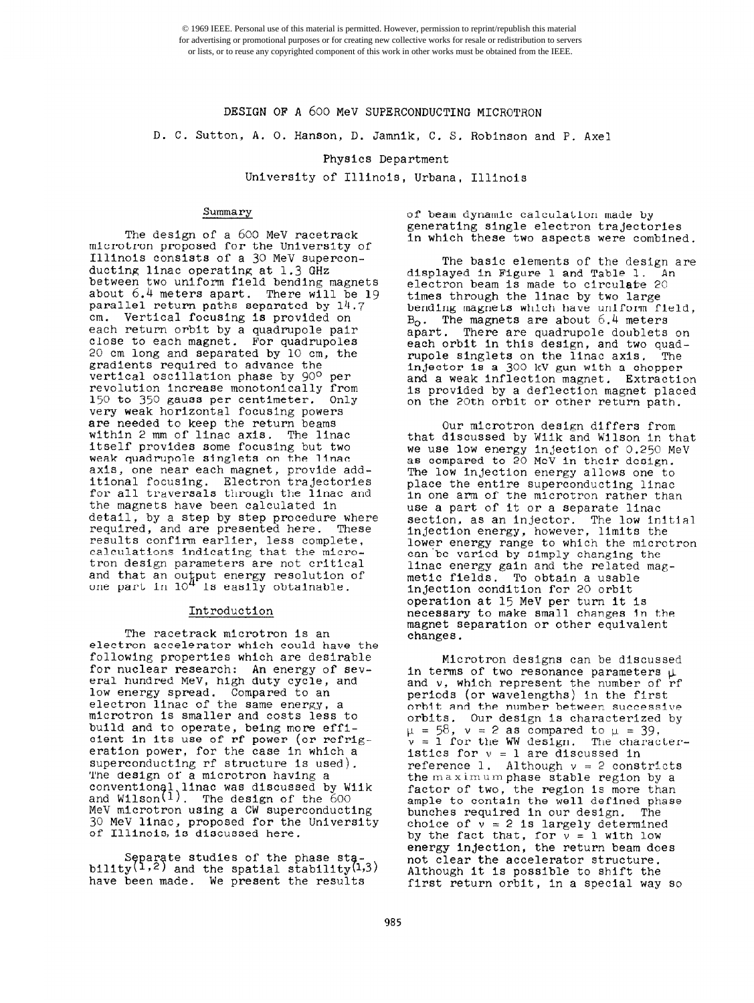© 1969 IEEE. Personal use of this material is permitted. However, permission to reprint/republish this material for advertising or promotional purposes or for creating new collective works for resale or redistribution to servers or lists, or to reuse any copyrighted component of this work in other works must be obtained from the IEEE.

# DESIGN OF A 600 MeV SUPERCONDUCTING MICROTRON

#### D. C. Sutton, A. 0. Hanson, D. Jamnlk, C. S. Robinson and P. Axe1

## Physics Department

University of Illinois, Urbana, Illinois

### Summary

The design of a 600 MeV racetrack microtron proposed for the University of<br>Illinois consists of a 30 MeV superconducting linac operating at 1.3 GHz<br>between two uniform field bending magnets about  $6.4$  meters apart. There will be 19 parallel return paths separated by 14.7 cm. Vertical focusing is provided on<br>each return orbit by a quadrupole pair close to each magnet. For quadrupoles 20 cm long and separated by 10 cm, the gradients required to advance the<br>vertical oscillation phase by 90° per revolution increase monotonically from<br>150 to 350 gauss per centimeter. Only 150 to 350 gauss per centimeter. very weak horizontal focusing powers are needed to keep the return beams within 2 mm of linac axis. The linac Itself provides some focusing but two weak quadrupole singlets on the linac axis, one near each magnet, provide additional focusing. Electron trajectories for all traversals through the linac and the magnets have been calculated In detail, by a step by step procedure where<br>required, and are presented here. These required, and are presented here. Thes<br>results confirm earlier, less complete, calculations indicating that the microtron design parameters are not critical and that an output energy resolution of<br>one part in 10<sup>4</sup> is easily obtainable.

#### Introduction

The racetrack microtron 1s an electron accelerator which could have the following properties which are desirable for nuclear research: An energy of several hundred MeV, high duty cycle, and low energy spread. Compared to an electron linac of the same energy, a mlcrotron IS smaller and costs less to build and to operate, being more effi-<br>cient in its use of rf power (or refrigeration power, for the case in which a superconducting rf structure is used).<br>The design of a microtron having a conventional linac was discussed by Wiik and Wilson $\left(1\right)$ . The design of the 600  $\,$ MeV mlcrotron using a CW superconducting 30 MeV linac, proposed for the University of Illinois, is discussed here.

Separate studies of the phase sta-<br>bility<sup>(1,2)</sup> and the spatial stability<sup>(1,3)</sup> have been made. We present the results

of beam dynamic calculation made by generating single electron trajectories in which these two aspects were combined.

The basic elements of the design are displayed in Figure 1 and Table 1. electron beam is made to circulate 20<br>times through the linac by two large bending magnets which have uniform field,  $B_0$ . The magnets are about  $6.4$  meters apart. There are quadrupole doublets on<br>each orbit in this design, and two quadrupole singlets on the linac axis. The injector is a 300 kV gun with a chopper and a weak Inflection magnet. Extraction is provided by a deflection magnet placed on the 20th orbit or other return path.

Our microtron design differs from that discussed by Wiik and Wilson in that we use low energy injection of 0.250 MeV as compared to 20 MeV in their design. The low injection energy allows one to place the entire superconducting linac in one arm of the microtron rather than use a part of it or a separate lina section, as an injector. The low initial injection energy, however, limits the lower energy range to which the microtron can'be varied by simply changing the llnac energy gain and the related mag- metlc fields. To obtain a usable Injection condition for 20 orbit operation at 15 MeV per turn It Is necessary to make small changes In the magnet separation or other equivalent<br>changes.

Mlcrotron designs can be discussed in terms of two resonance parameters  $\mu$ and v, which represent the number of rf periods (or wavelengths) In the first orbit and the number betweer, successive orbits. Our design is characterized by  $\mu$  = 58,  $\nu$  = 2 as compared to  $\mu$  = 39,  $v = 1$  for the WW design. The characteristics for  $v = 1$  are discussed in reference 1. Although  $v = 2$  constricts the maximum phase stable region by a factor of two, the region is more than ample to contain the well defined phase bunches required in our design. The choice of  $v = 2$  is largely determined by the fact that, for  $v = 1$  with low energy Injection, the return beam does not clear the accelerator structure. Although it Is possible to shift the first return orbit, in a special way so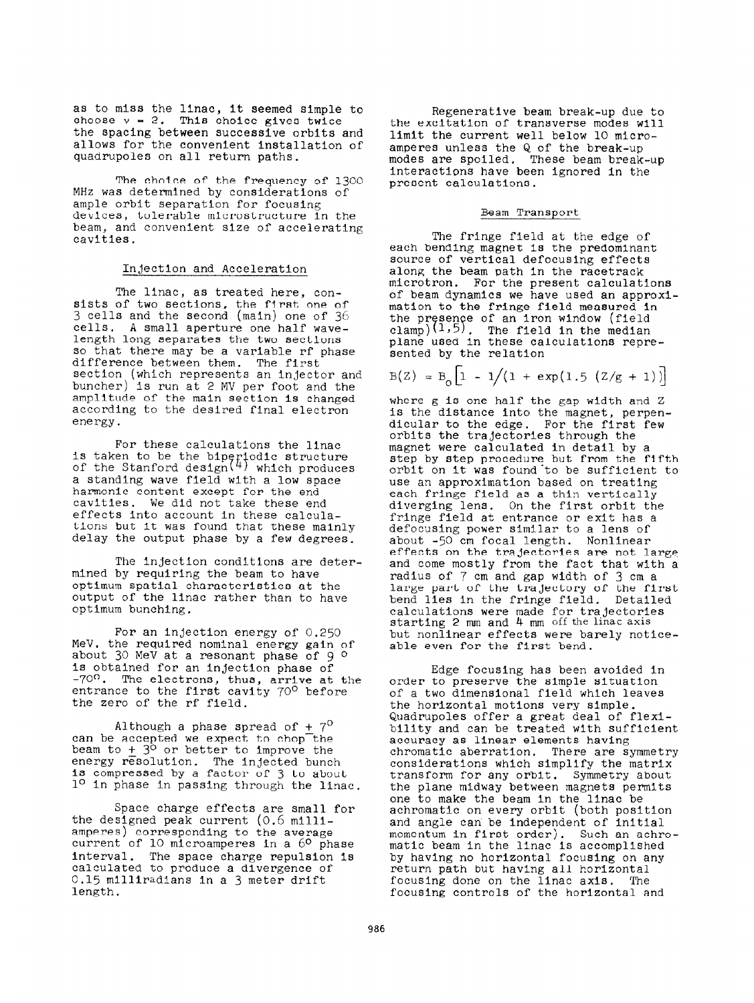as to miss the llnac, it seemed simple to choose  $v = 2$ . This choice gives twice the spacing between successive orbits and allows for the convenient Installation of quadrupoles on all return paths.

The choice of the frequency of 1300 MHz was determined by considerations of<br>ample orbit separation for focusing devices, tolerable microstructure in the beam, and convenient size of accelerating cavities.

#### Injection and Acceleration

The linac, as treated here, consists of two sections, the first one of 3 cells and the second (main) one of 36' cells, A small aperture one half wavelength long separates the two sections<br>so that there may be a variable rf phase difference between them. The first section (which represents an Injector and buncher) is run at 2 MV per foot and the amplitude of the main section Is changed according to the desired final electron energy.

For these calculations the llnac is taken to be the biperiodic structure<br>of the Stanford design<sup>(4)</sup> which produces<br>a standing wave field with a low space harmonic content except for the end cavltles. We did not take these end effects into account in these calcula-<br>tions but it was found that these mainly delay the output phase by a few degrees.

The injection conditions are determined by requiring the beam to have optimum spatial characteristics at the output of the llnac rather than to have optimum bunching.

For an injection energy of 0.250 MeV, the required nominal energy gain of about 30 MeV at a resonant phase of 9 º Is obtained for an injection phase of -70°. The electrons, thus, arrive at the entrance to the first cavity 70° before the zero of the rf field.

Although a phase spread of  $+ 7^{\circ}$  can be accepted we expect to chop the beam to +  $3^{\circ}$  or better to improve the energy resolution. The injected bunch is compressed by a factor of 3 to about 1º in phase in passing through the linac.

Space charge effects are small for the designed peak current  $(0.6 \text{ milli}-\text{amperes})$  corresponding to the average current of 10 microamperes in a  $60$  phase interval. The space charge repulsion Is calculated to produce a divergence of 0.15 milliradians in a 3 meter drift length.

Regenerative beam break-up due to the excitation of transverse modes will limit the current well below 10 micro-<br>amperes unless the Q of the break-up modes are spoiled. These beam break-up interactions have been ignored in the present calculations.

#### Beam Transport

The fringe field at the edge of each bending magnet Is the predominant source of vertical defocusing effects along the beam path In the racetrack microtron. For the present calculations<br>of beam dynamics we have used an approximation to the fringe field measured in the presence of an iron window (field  $t_{\text{clamp}}(1,5)$ . The field in the median plane used in these calculations repre-<br>sented by the relation

$$
B(Z) = B_0 \left[ 1 - 1/(1 + \exp(1.5 (Z/g + 1)) \right]
$$

where g is one half the gap width and Z<br>is the distance into the magnet, perpendicular to the edge. For the first few orbits the trajectories through the magnet were calculated in detail by a step by step procedure but from the fifth orbit on it was found to be sufficient to<br>use an approximation based on treating each fringe field as a thin vertically<br>diverging lens. On the first orbit the fringe field at entrance or exit has a defocusing power similar to a lens of about -50 cm focal length. Nonlinear and come mostly from the fact that with a radius of 7 cm and gap width of 3 cm a large part of the trajectory of the firs bend lies in the fringe field. Detailed calculations were made for trajectories starting  $2$  mm and  $4$  mm off the linac axis but nonlinear effects were barely notlceable even for the first bend.

Edge focusing has been avoided in order to preserve the simple situation of a two dimensional field which leaves<br>the horizontal motions very simple. Quadrupoles offer a great deal of flexibility and can be treated with sufficient<br>accuracy as linear elements having chromatic aberration. There are symmetry considerations which simplify the matrix transform for any orbit. Symmetry about the plane midway between magnets permits one to make the beam in the linac be<br>achromatic on every orbit (both position and angle can be independent of initial momentum in first order). Such an achro-<br>matic beam in the linac is accomplished by having no horizontal focusing on any return path but having all horizontal focusing done on the linac axis. The focusing controls of the horizontal and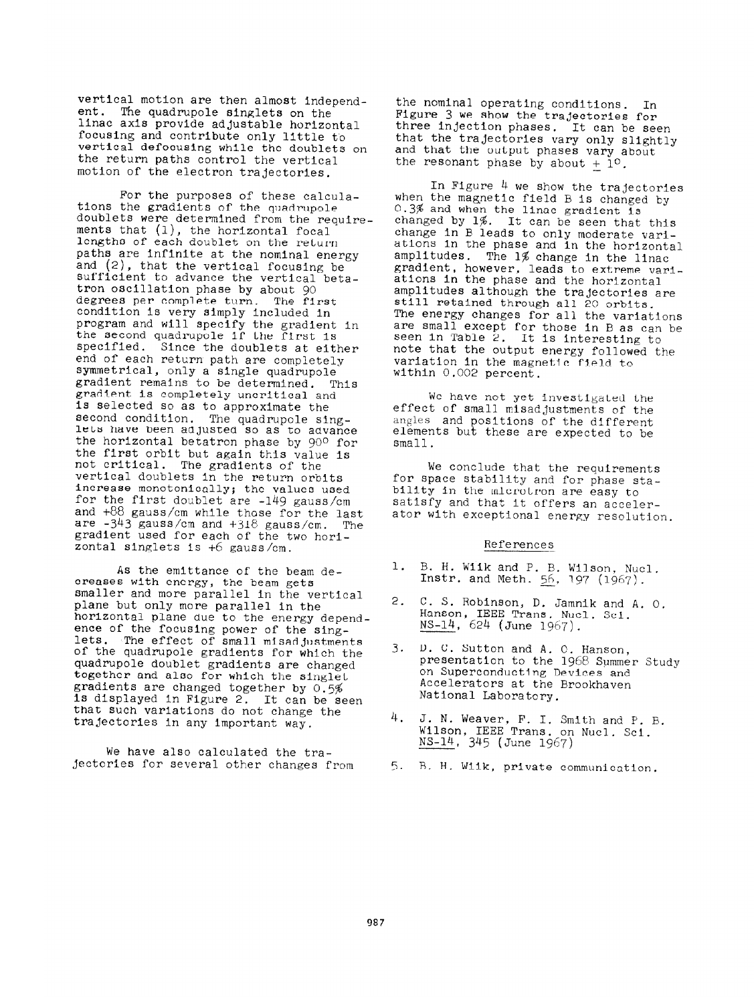vertical motion are then almost independ-<br>ent. The quadrupole singlets on the linac axis provide adjustable horizontal llnac axis provide adjustable horizont focusing and contribute only little to vertical defocusing while the doublets on the return paths control the vertical motion of the electron trajectories.

For the purposes of these calcula-<br>tions the gradients of the quadrupole tions the gradients of the quadrupole<br>doublets were determined from the require<br>ments that (l), the horizontal focal lengths of each doublet on the return<br>naths are infinite at the naminal aw paths are infinite at the nominal energy<br>and (2), that the vertical focusing be<br>sufficient to advance the vertical betasufficient to advance the vertical beta-<br>tron oscillation phase by shout 00 tron oscillation phase by about 90 degrees per complete turn. The first<br>condition is very simply included in condition is very simply included in program and will specify the gradient in<br>the second quadrupole if the first is the second quadrUpole if the first is specified. Since the doublets at either<br>end of each return path are completely symmetrical, only a single quadrupole<br>gradient remains to be determined. This<br>gradient is completely uncritical and gradient is completely uncritical and<br>is selected so as to enamerimate that Is selected so as to approximate the second condition. The quadrupole sing-<br>lets have been adjusted so as to advance the horizontal betatron phase by 900 for<br>the first orbit but again this value is not critical. The gradients of the not critical. The gradients of the vertical doublets In the return orbits increase monotonically; the values used<br>for the first doublet are  $-149$  gauss/cm and +88 gauss/cm while those for the last are -343 gauss/cm and +318, gauss/cm. The gradient used for each of the two horizontal singlets is +6 gauss/cm.

As the emittance of the beam de-<br>creases with energy, the beam gets smaller and more parallel in the vertical<br>plane but only more parallel in the horizontal plane due to the energy dependhorizontal plane due to the energv depend ence of the focusing power of the sing-<br>lets. The effect of small misadjustments<br>of the quadrupole gradients for which the quadrupole doublet gradients are changed together and also for which the singlet gradients are changed together by 0.5% Is displayed In Figure 2. It can be seen that such variations do not change the trajectories in any important way.

we have also calculated the trajectories for several other changes from the nominal operating conditions. In Figure 3 we show the trajectories for three injection phases, It can be seen that the trajectories vary only slightly and that the output phases vary about the resonant phase by about  $+1^{\circ}$ .

In Figure 4 we show the trajectories when the magnetic field B is changed by 0.3% and when the linac gradient is changed by 1%. It can be Seen that this change in B leads to only moderate variations In the phase and in the horizontal amplitudes. The 1% change in the linac gradient, however, leads to extreme variations in the phase and the horizont amplitudes although the trajectories are still retained through all 20 orbits. The energy changes for all the variations are small except for those in B as can be seen in Table 2. It is interesting to note that the output energy followed the varlation In the magnetic field to within 0.002 percent.

We have not yet investigated the effect of small misadjustments of the angles and positions of the different elements but these are expected to be small.

We conclude that the requirements for space stability and for phase stability in the microtron are easy to satisfy and that it offers an accelerator with exceptional energy resolution.

## References

- 1. B. H. Wllk and P. B. Wilson, Nucl. Instr. and Meth.  $56, 197$   $(1967)$ .
- 2. C. S. Robinson, D. Jamnik and A. 0. Hanson, IEEE Trans. Nucl. Sci. NS-14, 624 (June 1967).
- 3. D. C. Sutton and A. C. Hanson, presentation to the 1968 Summer Study on Superconducting Devices and Accelerators at the Brookhaven National Laboratory.
- 4. J. N. Weaver, F. I. Smith and P. B. Wilson, IEEE Trans. on Nucl. Sci. NS-14, 345 (June 1967)
- 5. B. H. Wiik, private communication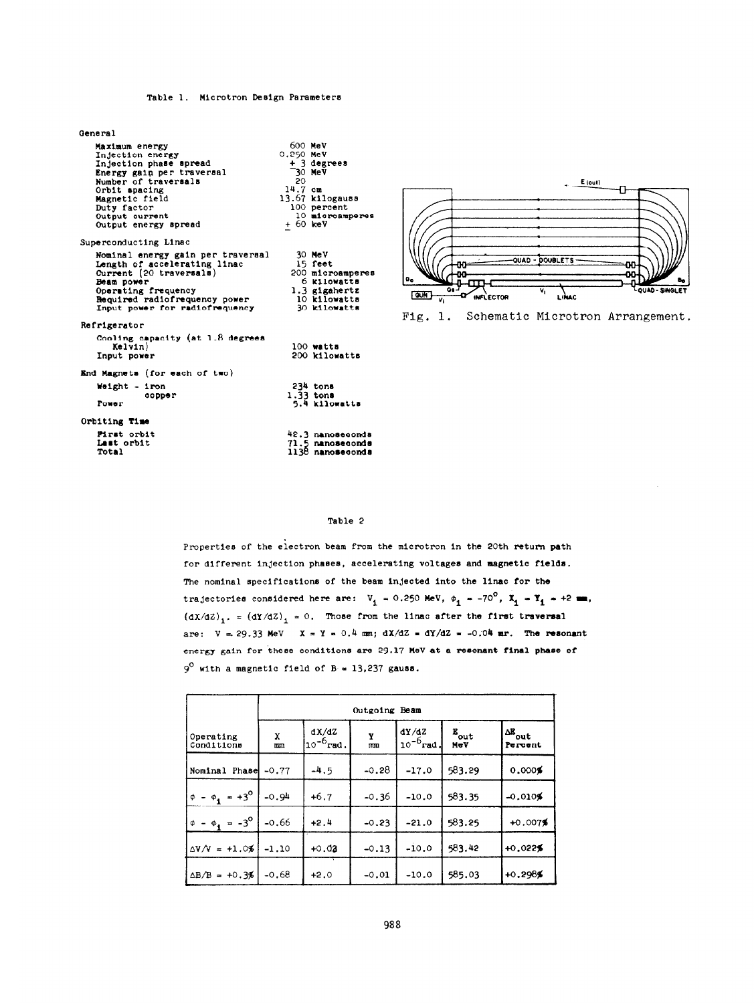## Table 1. Microtron Design Parameters

| General                                                                                                                                                                                                       |                                                                                                                                    |
|---------------------------------------------------------------------------------------------------------------------------------------------------------------------------------------------------------------|------------------------------------------------------------------------------------------------------------------------------------|
| Maximum energy<br>Injection energy<br>Injection phase spread<br>Energy gain per traversal<br>Number of traversals<br>Orbit spacing<br>Magnetic field<br>Duty factor<br>Output current<br>Output energy spread | 600 MeV<br>0.250 MeV<br>+ 3 degrees<br>30 MeV<br>20.<br>$14.7$ cm<br>13.67 kilogauss<br>100 percent<br>10 microamperes<br>+ 60 keV |
| Superconducting Linac                                                                                                                                                                                         |                                                                                                                                    |
| Nominal energy gain per traversal<br>Length of accelerating linac<br>Current (20 traversals)<br>Beam power<br>Operating frequency<br>Required radiofrequency power<br>Input power for radiofrequency          | 30 MeV<br>15 feet<br>200 microamperes<br>6 kilowatts<br>$1.3$ gigahertz<br>10 kilowatts<br>30 kilowatts                            |
| Refrigerator                                                                                                                                                                                                  | Ι                                                                                                                                  |
| Cooling capacity (at 1.8 degrees<br>Kelvin)<br>Input power                                                                                                                                                    | 100 watts<br>200 kilowatts                                                                                                         |
| End Magnets (for each of two)                                                                                                                                                                                 |                                                                                                                                    |
| Weight - iron<br>copper<br>Power                                                                                                                                                                              | 234 tons<br>$1.33$ tons<br>5.4 kilowatta                                                                                           |
| Orbiting Time                                                                                                                                                                                                 |                                                                                                                                    |
| First orbit<br>Last orbit<br>Total                                                                                                                                                                            | 42.3 nanoseconds<br>71.5 nanoseconds<br>1138 nanoseconda                                                                           |



Fig. 1. Schematic Microtron Arrangement.

#### Table 2

Properties of the electron beam from the microtron in the 20th return path for different Injection phaees, accelerating voltages and magnetic fields. The nominal specifications of the beam injected into the linac for the trajectories considered here are:  $V_i = 0.250$  MeV,  $\phi_i = -70^\circ$ ,  $X_i = Y_i = +2$  mm,  $(dX/dZ)_1$ , =  $(dY/dZ)_1$  = 0. Those from the linac after the first traversal are:  $V = 29.33$  MeV  $X = Y = 0.4$  mm;  $dX/dZ = dY/dZ = -0.04$  mr. The resonant energy gain for these conditions are 29.17 MeV at a resonant final phase of  $9^{\circ}$  with a magnetic field of B = 13,237 gauss.

|                         | Outgoing Beam |                         |         |                         |                      |                                  |  |
|-------------------------|---------------|-------------------------|---------|-------------------------|----------------------|----------------------------------|--|
| Operating<br>Conditions | x<br>mm       | dX/dZ<br>$10^{-6}$ rad. | Y<br>mn | dY/dZ<br>$10^{-6}$ rad. | $E_{\rm out}$<br>MeV | $\sqrt{\Delta B}$ out<br>Percent |  |
| Nominal<br>Phase        | $-0.77$       | $-4.5$                  | $-0.28$ | $-17.0$                 | 583.29               | 0.0001                           |  |
| $\phi - \phi_1 = +3^0$  | $-0.94$       | $+6.7$                  | $-0.36$ | $-10.0$                 | 583.35               | $-0.0109$                        |  |
| $\phi - \phi_1 = -3^0$  | $-0.66$       | $+2.4$                  | $-0.23$ | $-21.0$                 | 583.25               | $+0.007%$                        |  |
| $\Delta V/V = +1.0%$    | $-1.10$       | $+0.03$                 | $-0.13$ | $-10.0$                 | 583.42               | $+0.0229$                        |  |
| $\Delta B/B = +0.3%$    | $-0.68$       | $+2.0$                  | $-0.01$ | $-10.0$                 | 585.03               | $+0.2989$                        |  |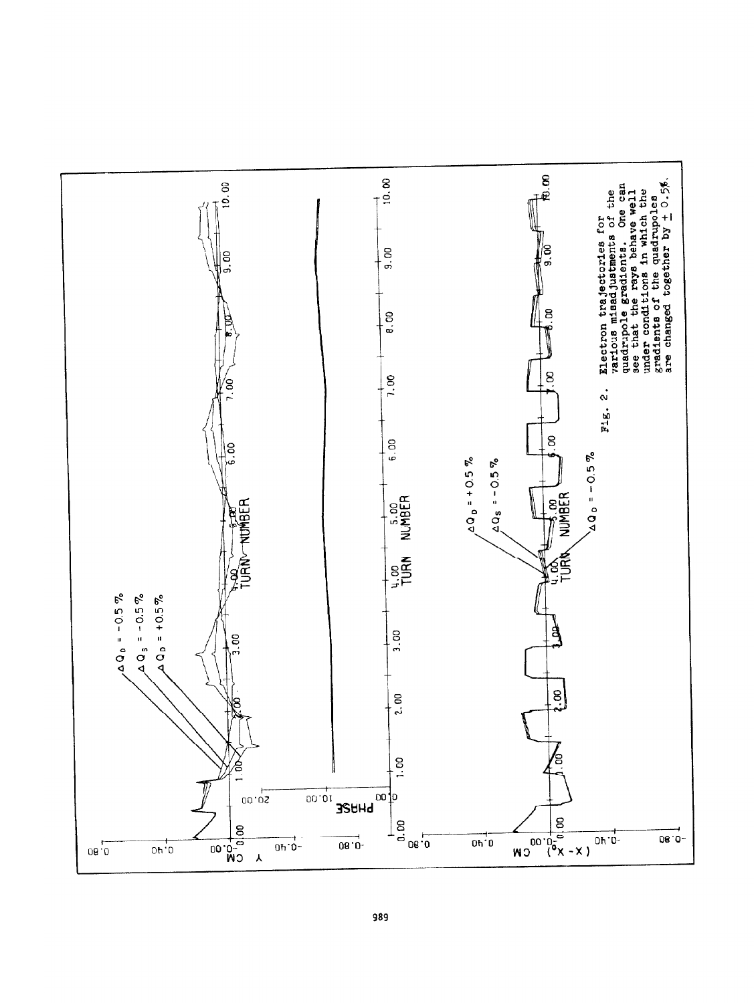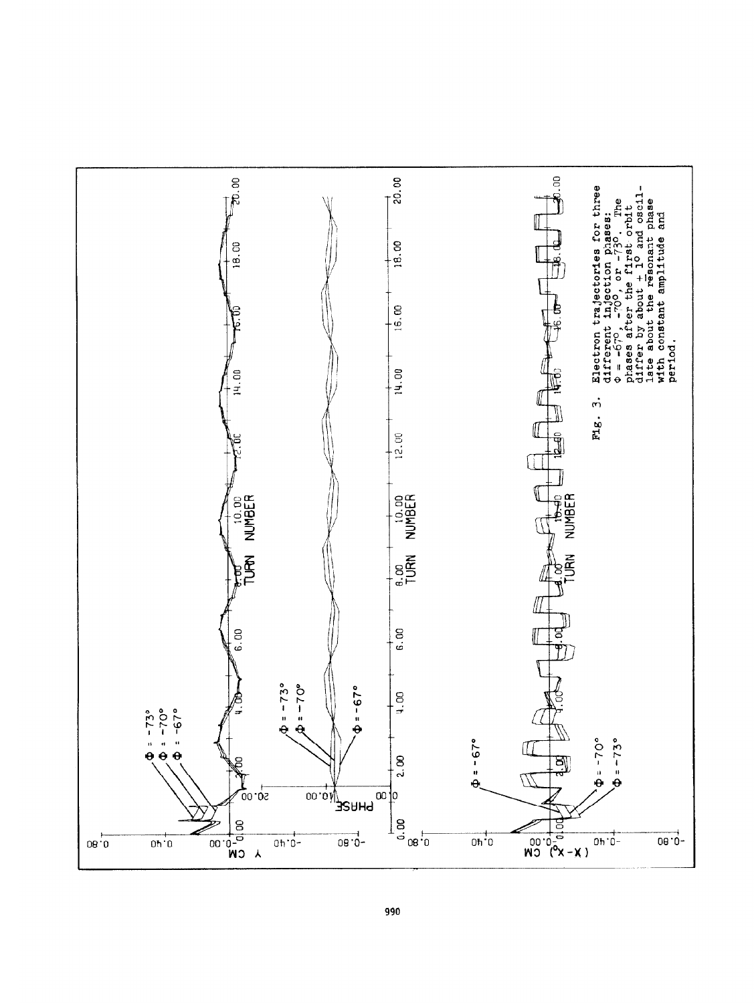